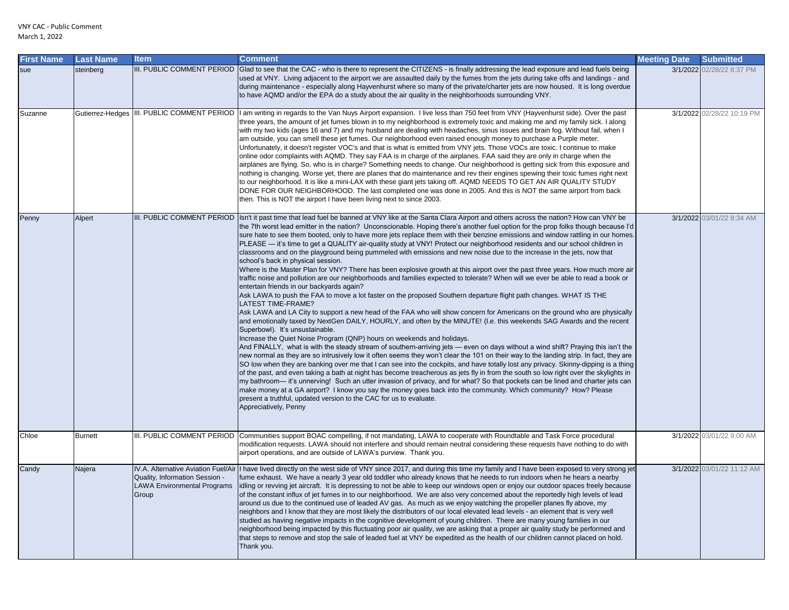| First Name | <b>Last Name</b> | ltem                                                                          | <b>Comment</b>                                                                                                                                                                                                                                                                                                                                                                                                                                                                                                                                                                                                                                                                                                                                                                                                                                                                                                                                                                                                                                                                                                                                                                                                                                                                                                                                                                                                                                                                                                                                                                                                                                                                                                                                                                                                                                                                                                                                                                                                                                                                                                                                                                                                                                                                                                                                                                                                                                                                                    | <b>Meeting Date</b> | <b>Submitted</b>           |
|------------|------------------|-------------------------------------------------------------------------------|---------------------------------------------------------------------------------------------------------------------------------------------------------------------------------------------------------------------------------------------------------------------------------------------------------------------------------------------------------------------------------------------------------------------------------------------------------------------------------------------------------------------------------------------------------------------------------------------------------------------------------------------------------------------------------------------------------------------------------------------------------------------------------------------------------------------------------------------------------------------------------------------------------------------------------------------------------------------------------------------------------------------------------------------------------------------------------------------------------------------------------------------------------------------------------------------------------------------------------------------------------------------------------------------------------------------------------------------------------------------------------------------------------------------------------------------------------------------------------------------------------------------------------------------------------------------------------------------------------------------------------------------------------------------------------------------------------------------------------------------------------------------------------------------------------------------------------------------------------------------------------------------------------------------------------------------------------------------------------------------------------------------------------------------------------------------------------------------------------------------------------------------------------------------------------------------------------------------------------------------------------------------------------------------------------------------------------------------------------------------------------------------------------------------------------------------------------------------------------------------------|---------------------|----------------------------|
| sue        | steinberg        |                                                                               | III. PUBLIC COMMENT PERIOD Glad to see that the CAC - who is there to represent the CITIZENS - is finally addressing the lead exposure and lead fuels being<br>used at VNY. Living adjacent to the airport we are assaulted daily by the fumes from the jets during take offs and landings - and<br>during maintenance - especially along Hayvenhurst where so many of the private/charter jets are now housed. It is long overdue<br>to have AQMD and/or the EPA do a study about the air quality in the neighborhoods surrounding VNY.                                                                                                                                                                                                                                                                                                                                                                                                                                                                                                                                                                                                                                                                                                                                                                                                                                                                                                                                                                                                                                                                                                                                                                                                                                                                                                                                                                                                                                                                                                                                                                                                                                                                                                                                                                                                                                                                                                                                                          |                     | 3/1/2022 02/28/22 8:37 PM  |
| Suzanne    |                  |                                                                               | Gutierrez-Hedges  III. PUBLIC COMMENT PERIOD  I am writing in regards to the Van Nuys Airport expansion. I live less than 750 feet from VNY (Hayvenhurst side). Over the past<br>three years, the amount of jet fumes blown in to my neighborhood is extremely toxic and making me and my family sick. I along<br>with my two kids (ages 16 and 7) and my husband are dealing with headaches, sinus issues and brain fog. Without fail, when I<br>am outside, you can smell these jet fumes. Our neighborhood even raised enough money to purchase a Purple meter.<br>Unfortunately, it doesn't register VOC's and that is what is emitted from VNY jets. Those VOCs are toxic. I continue to make<br>online odor complaints with AQMD. They say FAA is in charge of the airplanes. FAA said they are only in charge when the<br>airplanes are flying. So, who is in charge? Something needs to change. Our neighborhood is getting sick from this exposure and<br>nothing is changing. Worse yet, there are planes that do maintenance and rev their engines spewing their toxic fumes right next<br>to our neighborhood. It is like a mini-LAX with these giant jets taking off. AQMD NEEDS TO GET AN AIR QUALITY STUDY<br>DONE FOR OUR NEIGHBORHOOD. The last completed one was done in 2005. And this is NOT the same airport from back<br>then. This is NOT the airport I have been living next to since 2003.                                                                                                                                                                                                                                                                                                                                                                                                                                                                                                                                                                                                                                                                                                                                                                                                                                                                                                                                                                                                                                                                               |                     | 3/1/2022 02/28/22 10:19 PM |
| Penny      | Alpert           |                                                                               | III. PUBLIC COMMENT PERIOD  Isn't it past time that lead fuel be banned at VNY like at the Santa Clara Airport and others across the nation? How can VNY be<br>the 7th worst lead emitter in the nation? Unconscionable. Hoping there's another fuel option for the prop folks though because I'd<br>sure hate to see them booted, only to have more jets replace them with their benzine emissions and window rattling in our homes.<br>PLEASE — it's time to get a QUALITY air-quality study at VNY! Protect our neighborhood residents and our school children in<br>classrooms and on the playground being pummeled with emissions and new noise due to the increase in the jets, now that<br>school's back in physical session.<br>Where is the Master Plan for VNY? There has been explosive growth at this airport over the past three years. How much more air<br>traffic noise and pollution are our neighborhoods and families expected to tolerate? When will we ever be able to read a book or<br>entertain friends in our backyards again?<br>Ask LAWA to push the FAA to move a lot faster on the proposed Southern departure flight path changes. WHAT IS THE<br><b>LATEST TIME-FRAME?</b><br>Ask LAWA and LA City to support a new head of the FAA who will show concern for Americans on the ground who are physically<br>and emotionally taxed by NextGen DAILY, HOURLY, and often by the MINUTE! (I.e. this weekends SAG Awards and the recent<br>Superbowl). It's unsustainable.<br>Increase the Quiet Noise Program (QNP) hours on weekends and holidays.<br>And FINALLY, what is with the steady stream of southern-arriving jets — even on days without a wind shift? Praying this isn't the<br>new normal as they are so intrusively low it often seems they won't clear the 101 on their way to the landing strip. In fact, they are<br>SO low when they are banking over me that I can see into the cockpits, and have totally lost any privacy. Skinny-dipping is a thing<br>of the past, and even taking a bath at night has become treacherous as jets fly in from the south so low right over the skylights in<br>my bathroom— it's unnerving! Such an utter invasion of privacy, and for what? So that pockets can be lined and charter jets can<br>make money at a GA airport? I know you say the money goes back into the community. Which community? How? Please<br>present a truthful, updated version to the CAC for us to evaluate.<br>Appreciatively, Penny |                     | 3/1/2022 03/01/22 8:34 AM  |
| Chloe      | <b>Burnett</b>   |                                                                               | III. PUBLIC COMMENT PERIOD Communities support BOAC compelling, if not mandating, LAWA to cooperate with Roundtable and Task Force procedural<br>modification requests. LAWA should not interfere and should remain neutral considering these requests have nothing to do with<br>airport operations, and are outside of LAWA's purview. Thank you.                                                                                                                                                                                                                                                                                                                                                                                                                                                                                                                                                                                                                                                                                                                                                                                                                                                                                                                                                                                                                                                                                                                                                                                                                                                                                                                                                                                                                                                                                                                                                                                                                                                                                                                                                                                                                                                                                                                                                                                                                                                                                                                                               |                     | 3/1/2022 03/01/22 9:00 AM  |
| Candy      | Najera           | Quality, Information Session -<br><b>LAWA Environmental Programs</b><br>Group | IV.A. Alternative Aviation Fuel/Air  I have lived directly on the west side of VNY since 2017, and during this time my family and I have been exposed to very strong jet<br>fume exhaust. We have a nearly 3 year old toddler who already knows that he needs to run indoors when he hears a nearby<br>idling or revving jet aircraft. It is depressing to not be able to keep our windows open or enjoy our outdoor spaces freely because<br>of the constant influx of jet fumes in to our neighborhood. We are also very concerned about the reportedly high levels of lead<br>around us due to the continued use of leaded AV gas. As much as we enjoy watching the propeller planes fly above, my<br>neighbors and I know that they are most likely the distributors of our local elevated lead levels - an element that is very well<br>studied as having negative impacts in the cognitive development of young children. There are many young families in our<br>neighborhood being impacted by this fluctuating poor air quality, we are asking that a proper air quality study be performed and<br>that steps to remove and stop the sale of leaded fuel at VNY be expedited as the health of our children cannot placed on hold.<br>Thank you.                                                                                                                                                                                                                                                                                                                                                                                                                                                                                                                                                                                                                                                                                                                                                                                                                                                                                                                                                                                                                                                                                                                                                                                                                                          |                     | 3/1/2022 03/01/22 11:12 AM |